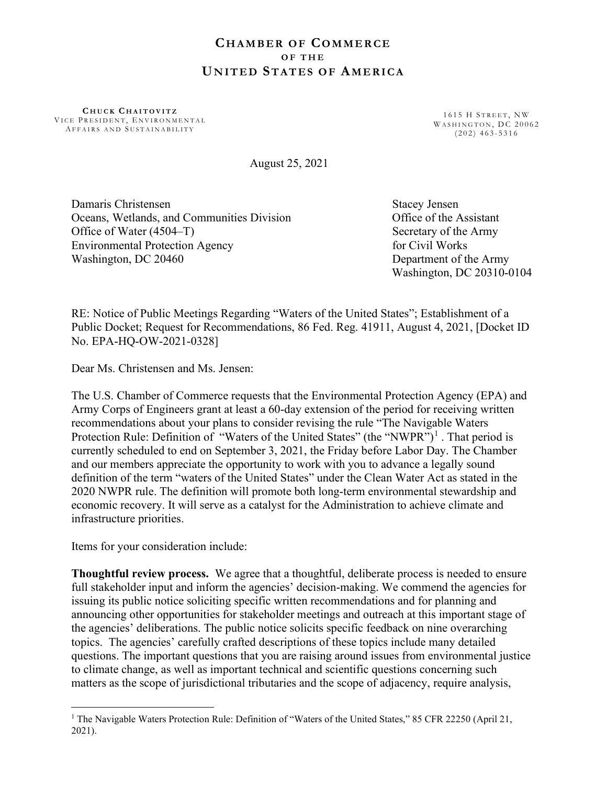## **CHAMBER OF COMMERCE** OF THE UNITED STATES OF AMERICA

CHUCK CHAITOVITZ VICE PRESIDENT, ENVIRONMENTAL AFFAIRS AND SUSTAINABILITY

1615 H STREET, NW WASHINGTON, DC 20062  $( 202 )$  463-5316

August 25, 2021

Damaris Christensen Stacey Jensen Stacey Jensen Oceans, Wetlands, and Communities Division Office of the Assistant Office of Water (4504–T) Secretary of the Army Environmental Protection Agency for Civil Works Washington, DC 20460 Department of the Army

Washington, DC 20310-0104

RE: Notice of Public Meetings Regarding "Waters of the United States"; Establishment of a Public Docket; Request for Recommendations, 86 Fed. Reg. 41911, August 4, 2021, [Docket ID No. EPA-HQ-OW-2021-0328]

Dear Ms. Christensen and Ms. Jensen:

The U.S. Chamber of Commerce requests that the Environmental Protection Agency (EPA) and Army Corps of Engineers grant at least a 60-day extension of the period for receiving written recommendations about your plans to consider revising the rule "The Navigable Waters Protection Rule: Definition of "Waters of the United States" (the "NWPR")<sup>1</sup>. That period is currently scheduled to end on September 3, 2021, the Friday before Labor Day. The Chamber and our members appreciate the opportunity to work with you to advance a legally sound definition of the term "waters of the United States" under the Clean Water Act as stated in the 2020 NWPR rule. The definition will promote both long-term environmental stewardship and economic recovery. It will serve as a catalyst for the Administration to achieve climate and infrastructure priorities.

Items for your consideration include:

Thoughtful review process. We agree that a thoughtful, deliberate process is needed to ensure full stakeholder input and inform the agencies' decision-making. We commend the agencies for issuing its public notice soliciting specific written recommendations and for planning and announcing other opportunities for stakeholder meetings and outreach at this important stage of the agencies' deliberations. The public notice solicits specific feedback on nine overarching topics. The agencies' carefully crafted descriptions of these topics include many detailed questions. The important questions that you are raising around issues from environmental justice to climate change, as well as important technical and scientific questions concerning such matters as the scope of jurisdictional tributaries and the scope of adjacency, require analysis,

<sup>&</sup>lt;sup>1</sup> The Navigable Waters Protection Rule: Definition of "Waters of the United States," 85 CFR 22250 (April 21, 2021).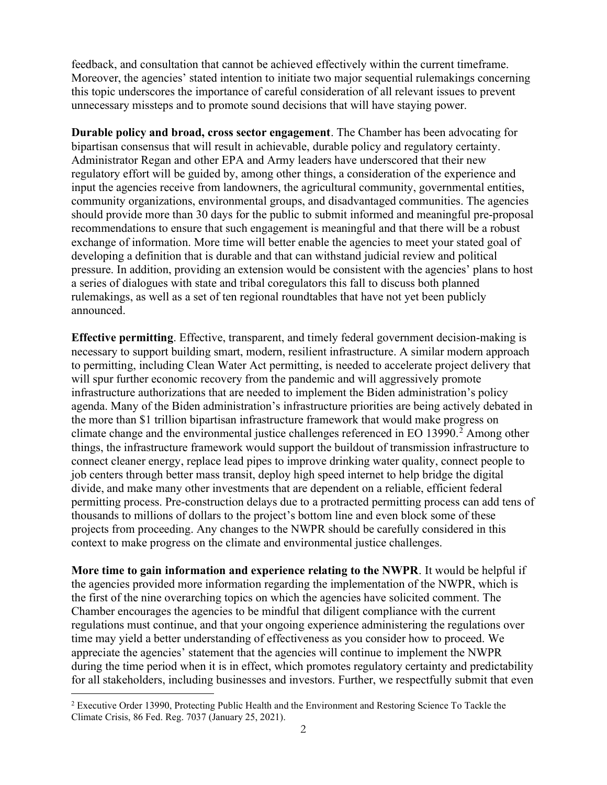feedback, and consultation that cannot be achieved effectively within the current timeframe. Moreover, the agencies' stated intention to initiate two major sequential rulemakings concerning this topic underscores the importance of careful consideration of all relevant issues to prevent unnecessary missteps and to promote sound decisions that will have staying power.

Durable policy and broad, cross sector engagement. The Chamber has been advocating for bipartisan consensus that will result in achievable, durable policy and regulatory certainty. Administrator Regan and other EPA and Army leaders have underscored that their new regulatory effort will be guided by, among other things, a consideration of the experience and input the agencies receive from landowners, the agricultural community, governmental entities, community organizations, environmental groups, and disadvantaged communities. The agencies should provide more than 30 days for the public to submit informed and meaningful pre-proposal recommendations to ensure that such engagement is meaningful and that there will be a robust exchange of information. More time will better enable the agencies to meet your stated goal of developing a definition that is durable and that can withstand judicial review and political pressure. In addition, providing an extension would be consistent with the agencies' plans to host a series of dialogues with state and tribal coregulators this fall to discuss both planned rulemakings, as well as a set of ten regional roundtables that have not yet been publicly announced.

Effective permitting. Effective, transparent, and timely federal government decision-making is necessary to support building smart, modern, resilient infrastructure. A similar modern approach to permitting, including Clean Water Act permitting, is needed to accelerate project delivery that will spur further economic recovery from the pandemic and will aggressively promote infrastructure authorizations that are needed to implement the Biden administration's policy agenda. Many of the Biden administration's infrastructure priorities are being actively debated in the more than \$1 trillion bipartisan infrastructure framework that would make progress on climate change and the environmental justice challenges referenced in EO 13990. $^2$  Among other things, the infrastructure framework would support the buildout of transmission infrastructure to connect cleaner energy, replace lead pipes to improve drinking water quality, connect people to job centers through better mass transit, deploy high speed internet to help bridge the digital divide, and make many other investments that are dependent on a reliable, efficient federal permitting process. Pre-construction delays due to a protracted permitting process can add tens of thousands to millions of dollars to the project's bottom line and even block some of these projects from proceeding. Any changes to the NWPR should be carefully considered in this context to make progress on the climate and environmental justice challenges.

More time to gain information and experience relating to the NWPR. It would be helpful if the agencies provided more information regarding the implementation of the NWPR, which is the first of the nine overarching topics on which the agencies have solicited comment. The Chamber encourages the agencies to be mindful that diligent compliance with the current regulations must continue, and that your ongoing experience administering the regulations over time may yield a better understanding of effectiveness as you consider how to proceed. We appreciate the agencies' statement that the agencies will continue to implement the NWPR during the time period when it is in effect, which promotes regulatory certainty and predictability for all stakeholders, including businesses and investors. Further, we respectfully submit that even

<sup>&</sup>lt;sup>2</sup> Executive Order 13990, Protecting Public Health and the Environment and Restoring Science To Tackle the Climate Crisis, 86 Fed. Reg. 7037 (January 25, 2021).